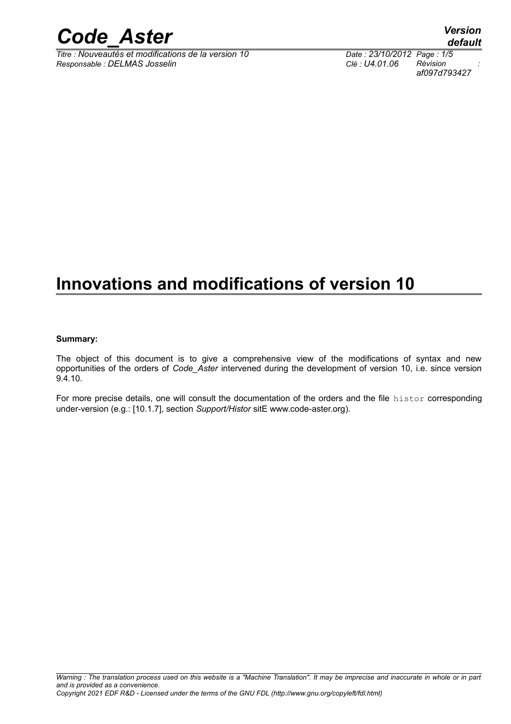

*Titre : Nouveautés et modifications de la version 10 Date : 23/10/2012 Page : 1/5*  $Responsible : DELMAS Josselin$ 

*af097d793427*

## **Innovations and modifications of version 10**

#### **Summary:**

The object of this document is to give a comprehensive view of the modifications of syntax and new opportunities of the orders of *Code\_Aster* intervened during the development of version 10, i.e. since version 9.4.10.

For more precise details, one will consult the documentation of the orders and the file histor corresponding under-version (e.g.: [10.1.7], section *Support/Histor* sitE www.code-aster.org).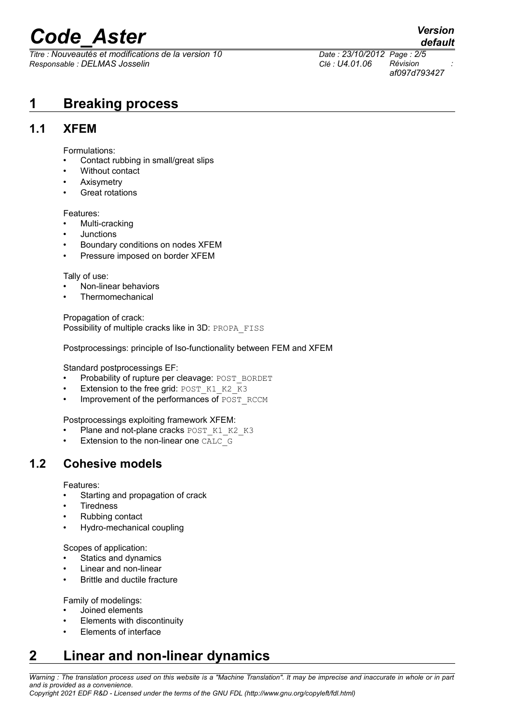# *Code\_Aster Version*

*Titre : Nouveautés et modifications de la version 10 Date : 23/10/2012 Page : 2/5 Responsable : DELMAS Josselin Clé : U4.01.06 Révision :*

*af097d793427*

**1 Breaking process**

## **1.1 XFEM**

Formulations:

- Contact rubbing in small/great slips
- Without contact
- Axisymetry
- Great rotations

Features:

- Multi-cracking
- Junctions
- Boundary conditions on nodes XFEM
- Pressure imposed on border XFEM

Tally of use:

- Non-linear behaviors
- **Thermomechanical**

Propagation of crack: Possibility of multiple cracks like in 3D: PROPA\_FISS

Postprocessings: principle of Iso-functionality between FEM and XFEM

Standard postprocessings EF:

- Probability of rupture per cleavage: POST\_BORDET
- Extension to the free grid: POST\_K1\_K2\_K3
- Improvement of the performances of POST\_RCCM

Postprocessings exploiting framework XFEM:

- Plane and not-plane cracks POST\_K1\_K2\_K3
- Extension to the non-linear one CALC\_G

## **1.2 Cohesive models**

Features:

- Starting and propagation of crack
- **Tiredness**
- Rubbing contact
- Hydro-mechanical coupling

Scopes of application:

- Statics and dynamics
- Linear and non-linear
- Brittle and ductile fracture

Family of modelings:

- Joined elements
- Elements with discontinuity
- Elements of interface

## **2 Linear and non-linear dynamics**

*Warning : The translation process used on this website is a "Machine Translation". It may be imprecise and inaccurate in whole or in part and is provided as a convenience.*

## *default*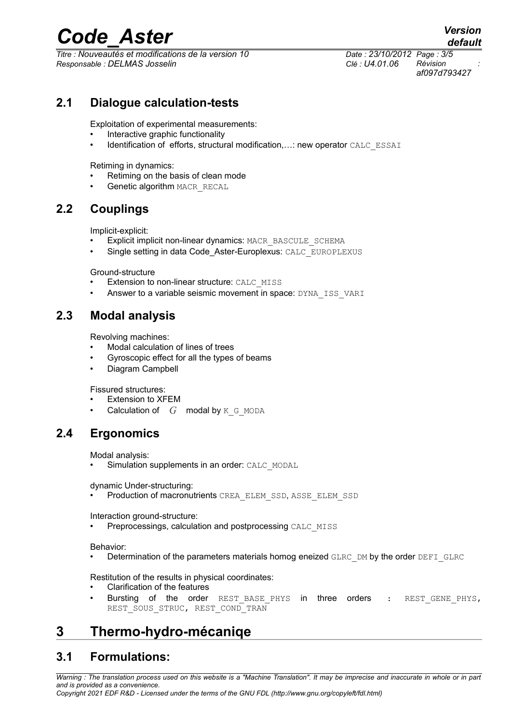## *Code\_Aster Version*

*Titre : Nouveautés et modifications de la version 10 Date : 23/10/2012 Page : 3/5 Responsable : DELMAS Josselin Clé : U4.01.06 Révision :*

*af097d793427*

### **2.1 Dialogue calculation-tests**

Exploitation of experimental measurements:

- Interactive graphic functionality
- Identification of efforts, structural modification,…: new operator CALC\_ESSAI

Retiming in dynamics:

- Retiming on the basis of clean mode
- Genetic algorithm MACR\_RECAL

## **2.2 Couplings**

Implicit-explicit:

- Explicit implicit non-linear dynamics: MACR\_BASCULE\_SCHEMA
- Single setting in data Code Aster-Europlexus: CALC\_EUROPLEXUS

Ground-structure

- Extension to non-linear structure: CALC\_MISS
- Answer to a variable seismic movement in space: DYNA\_ISS\_VARI

### **2.3 Modal analysis**

Revolving machines:

- Modal calculation of lines of trees
- Gyroscopic effect for all the types of beams
- Diagram Campbell

Fissured structures:

- Extension to XFEM
- Calculation of *G* modal by K G MODA

## **2.4 Ergonomics**

Modal analysis:

• Simulation supplements in an order: CALC\_MODAL

dynamic Under-structuring:

Production of macronutrients CREA\_ELEM\_SSD, ASSE\_ELEM\_SSD

Interaction ground-structure:

Preprocessings, calculation and postprocessing CALC\_MISS

Behavior:

Determination of the parameters materials homog eneized GLRC DM by the order DEFI\_GLRC

Restitution of the results in physical coordinates:

- Clarification of the features
- Bursting of the order REST\_BASE\_PHYS in three orders : REST\_GENE\_PHYS, REST SOUS STRUC, REST COND TRAN

## **3 Thermo-hydro-mécaniqe**

## **3.1 Formulations:**

*Warning : The translation process used on this website is a "Machine Translation". It may be imprecise and inaccurate in whole or in part and is provided as a convenience.*

*Copyright 2021 EDF R&D - Licensed under the terms of the GNU FDL (http://www.gnu.org/copyleft/fdl.html)*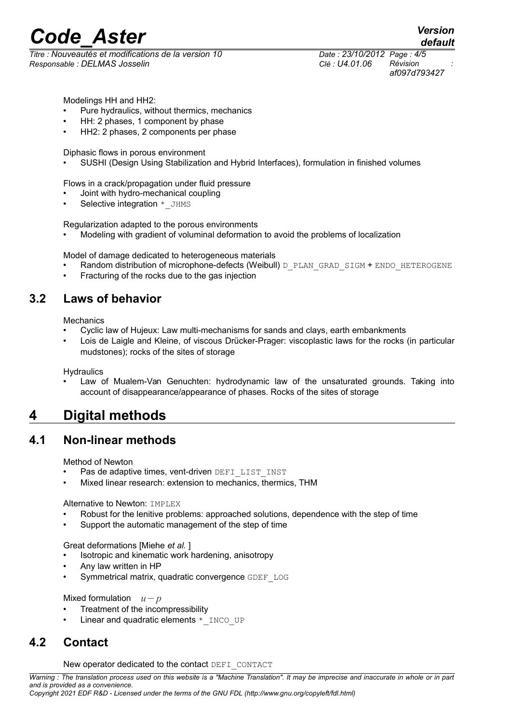## *Code\_Aster Version*

*Titre : Nouveautés et modifications de la version 10 Date : 23/10/2012 Page : 4/5 Responsable : DELMAS Josselin Clé : U4.01.06 Révision :*

Modelings HH and HH2:

- Pure hydraulics, without thermics, mechanics
- HH: 2 phases, 1 component by phase
- HH2: 2 phases, 2 components per phase

Diphasic flows in porous environment

SUSHI (Design Using Stabilization and Hybrid Interfaces), formulation in finished volumes

Flows in a crack/propagation under fluid pressure

- Joint with hydro-mechanical coupling
- Selective integration \* JHMS

Regularization adapted to the porous environments

Modeling with gradient of voluminal deformation to avoid the problems of localization

Model of damage dedicated to heterogeneous materials

- Random distribution of microphone-defects (Weibull) D\_PLAN\_GRAD\_SIGM + ENDO\_HETEROGENE
- Fracturing of the rocks due to the gas injection

### **3.2 Laws of behavior**

**Mechanics** 

- Cyclic law of Hujeux: Law multi-mechanisms for sands and clays, earth embankments
- Lois de Laigle and Kleine, of viscous Drücker-Prager: viscoplastic laws for the rocks (in particular mudstones); rocks of the sites of storage

**Hydraulics** 

 Law of Mualem-Van Genuchten: hydrodynamic law of the unsaturated grounds. Taking into account of disappearance/appearance of phases. Rocks of the sites of storage

## **4 Digital methods**

#### **4.1 Non-linear methods**

Method of Newton

- Pas de adaptive times, vent-driven DEFI\_LIST\_INST
- Mixed linear research: extension to mechanics, thermics, THM

Alternative to Newton: **IMPLEX** 

- Robust for the lenitive problems: approached solutions, dependence with the step of time
- Support the automatic management of the step of time

Great deformations [Miehe *et al.* ]

- Isotropic and kinematic work hardening, anisotropy
- Any law written in HP
- Symmetrical matrix, quadratic convergence GDEF\_LOG

Mixed formulation *u*−*p*

- Treatment of the incompressibility
- Linear and quadratic elements  $*$  INCO UP

### **4.2 Contact**

New operator dedicated to the contact DEFI\_CONTACT

*Warning : The translation process used on this website is a "Machine Translation". It may be imprecise and inaccurate in whole or in part and is provided as a convenience. Copyright 2021 EDF R&D - Licensed under the terms of the GNU FDL (http://www.gnu.org/copyleft/fdl.html)*